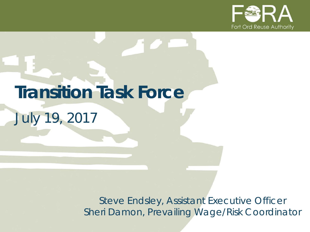

# **Transition Task Force**

*July 19, 2017*

*Steve Endsley, Assistant Executive Officer Sheri Damon, Prevailing Wage/Risk Coordinator*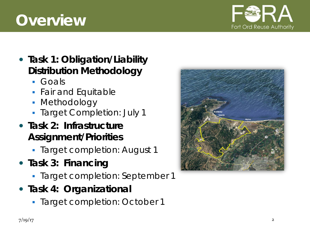# **Overview**



- **Task 1: Obligation/Liability Distribution Methodology**
	- Goals
	- *Fair and Equitable*
	- Methodology
	- *Target Completion: July 1*
- **Task 2: Infrastructure Assignment/Priorities** 
	- *Target completion: August 1*
- **Task 3: Financing**
	- *Target completion: September 1*
- **Task 4: Organizational**
	- *Target completion: October 1*

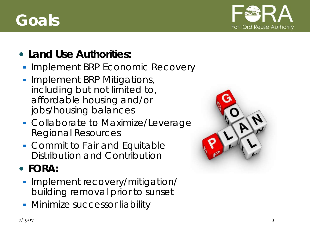# **Goals**



### **Land Use Authorities:**

- **Implement BRP Economic Recovery**
- **Implement BRP Mitigations,** *including but not limited to, affordable housing and/or jobs/housing balances*
- **Collaborate to Maximize/Leverage** Regional Resources
- Commit to Fair and Equitable Distribution and Contribution

## **FORA:**

- **Implement recovery/mitigation/** building removal prior to sunset
- **Minimize successor liability**

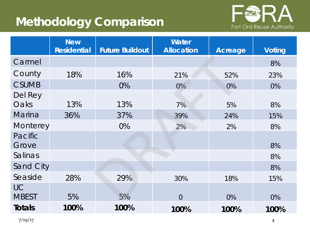## **Methodology Comparison**



|                           | <b>New</b><br><b>Residential</b> | <b>Future Buildout</b> | Water<br><b>Allocation</b> | <b>Acreage</b> | <b>Voting</b> |
|---------------------------|----------------------------------|------------------------|----------------------------|----------------|---------------|
| Carmel                    |                                  |                        |                            |                | 8%            |
| County                    | 18%                              | 16%                    | 21%                        | 52%            | 23%           |
| <b>CSUMB</b>              |                                  | 0%                     | $0\%$<br>0%                |                | 0%            |
| Del Rey<br>Oaks           | 13%                              | 13%                    | 7%                         | 5%             | 8%            |
| <b>Marina</b>             | 36%                              | 37%                    | 39%                        | 24%            | 15%           |
| Monterey                  |                                  | 0%                     | 2%                         | 2%             | 8%            |
| Pacific<br>Grove          |                                  |                        |                            |                | 8%            |
| Salinas                   |                                  |                        |                            |                | 8%            |
| <b>Sand City</b>          |                                  |                        |                            |                | 8%            |
| Seaside                   | 28%                              | 29%                    | 30%                        | 18%            | 15%           |
| <b>UC</b><br><b>MBEST</b> | 5%                               | 5%                     | $\overline{0}$             | 0%             | 0%            |
| <b>Totals</b>             | 100%                             | 100%                   | 100%                       | 100%           | 100%          |

7/19/17 4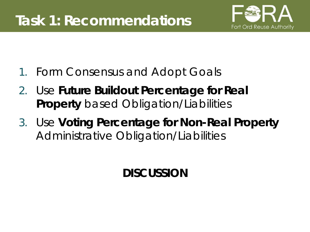

- 1. Form Consensus and Adopt Goals
- 2. Use **Future Buildout Percentage for Real Property** based Obligation/Liabilities
- 3. Use **Voting Percentage for Non-Real Property**  Administrative Obligation/Liabilities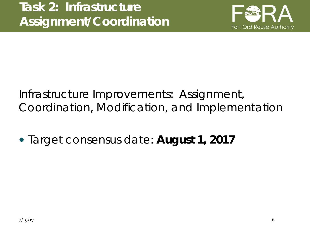

## Infrastructure Improvements: Assignment, Coordination, Modification, and Implementation

*Target consensus date: August 1, 2017*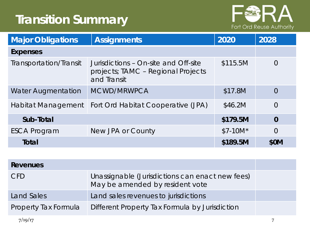## **Transition Summary**



| <b>Assignments</b><br><b>Major Obligations</b> |                                                                                           | 2020      | 2028           |
|------------------------------------------------|-------------------------------------------------------------------------------------------|-----------|----------------|
| <b>Expenses</b>                                |                                                                                           |           |                |
| Transportation/Transit                         | Jurisdictions - On-site and Off-site<br>projects; TAMC - Regional Projects<br>and Transit | \$115.5M  | $\Omega$       |
| <b>Water Augmentation</b>                      | MCWD/MRWPCA                                                                               | \$17.8M   | $\overline{0}$ |
| Habitat Management                             | Fort Ord Habitat Cooperative (JPA)                                                        | \$46.2M   | $\overline{0}$ |
| Sub-Total                                      |                                                                                           | \$179.5M  | $\bf{0}$       |
| <b>ESCA Program</b>                            | New JPA or County                                                                         | $$7-10M*$ | $\overline{0}$ |
| Total                                          |                                                                                           | \$189.5M  | \$0M           |

| Revenues             |                                                                                    |  |
|----------------------|------------------------------------------------------------------------------------|--|
| <b>CFD</b>           | Unassignable (Jurisdictions can enact new fees)<br>May be amended by resident vote |  |
| Land Sales           | Land sales revenues to jurisdictions                                               |  |
| Property Tax Formula | Different Property Tax Formula by Jurisdiction                                     |  |
| 7/19/17              |                                                                                    |  |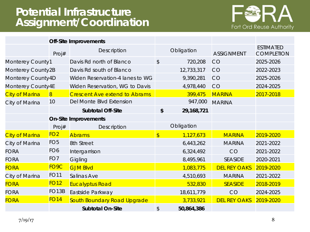#### **Potential Infrastructure Assignment/Coordination**



|                       | <b>Off-Site Improvements</b> |                                      |               |            |                     |                                       |
|-----------------------|------------------------------|--------------------------------------|---------------|------------|---------------------|---------------------------------------|
|                       | Proj#                        | Description                          |               | Obligation | <b>ASSIGNMENT</b>   | <b>ESTIMATED</b><br><b>COMPLETION</b> |
| Monterey County1      |                              | Davis Rd north of Blanco             | \$            | 720,208    | <b>CO</b>           | 2025-2026                             |
| Monterey County2B     |                              | Davis Rd south of Blanco             |               | 12,733,317 | <b>CO</b>           | 2022-2023                             |
| Monterey County4D     |                              | Widen Reservation-4 lanes to WG      |               | 9,390,281  | <b>CO</b>           | 2025-2026                             |
| Monterey County4E     |                              | Widen Reservation, WG to Davis       |               | 4,978,440  | <b>CO</b>           | 2024-2025                             |
| <b>City of Marina</b> | $\overline{8}$               | <b>Crescent Ave extend to Abrams</b> |               | 399,475    | <b>MARINA</b>       | 2017-2018                             |
| City of Marina        | 10                           | Del Monte Blvd Extension             |               | 947,000    | <b>MARINA</b>       |                                       |
|                       |                              | <b>Subtotal Off-Site</b>             | \$            | 29,168,721 |                     |                                       |
|                       | <b>On-Site Improvements</b>  |                                      |               |            |                     |                                       |
|                       | Proj#                        | Description                          |               | Obligation |                     |                                       |
| <b>City of Marina</b> | FO <sub>2</sub>              | <b>Abrams</b>                        | $\frac{1}{2}$ | 1,127,673  | <b>MARINA</b>       | 2019-2020                             |
| City of Marina        | FO <sub>5</sub>              | 8th Street                           |               | 6,443,262  | <b>MARINA</b>       | 2021-2022                             |
| <b>FORA</b>           | FO <sub>6</sub>              | Intergarrison                        |               | 6,324,492  | CO                  | 2021-2022                             |
| <b>FORA</b>           | FO <sub>7</sub>              | Gigling                              |               | 8,495,961  | <b>SEASIDE</b>      | 2020-2021                             |
| <b>FORA</b>           | FO <sub>9</sub> C            | <b>GJM Blvd</b>                      |               | 1,083,775  | <b>DEL REY OAKS</b> | 2019-2020                             |
| City of Marina        | <b>FO11</b>                  | Salinas Ave                          |               | 4,510,693  | <b>MARINA</b>       | 2021-2022                             |
| <b>FORA</b>           | <b>FO12</b>                  | <b>Eucalyptus Road</b>               |               | 532,830    | <b>SEASIDE</b>      | 2018-2019                             |
| <b>FORA</b>           | FO <sub>13</sub> B           | Eastside Parkway                     |               | 18,611,779 | CO                  | 2024-2025                             |
| <b>FORA</b>           | <b>FO14</b>                  | South Boundary Road Upgrade          |               | 3,733,921  | <b>DEL REY OAKS</b> | 2019-2020                             |
|                       |                              | <b>Subtotal On-Site</b>              | \$            | 50,864,386 |                     |                                       |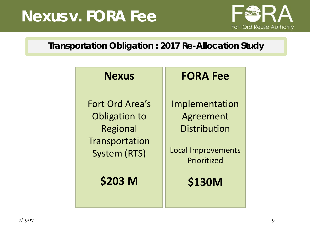# **Nexus v. FORA Fee**



#### **Transportation Obligation : 2017 Re-Allocation Study**

#### **Nexus**

Fort Ord Area's Obligation to Regional **Transportation** System (RTS)

**\$203 M**

## **FORA Fee**

Implementation Agreement **Distribution** 

Local Improvements Prioritized

**\$130M**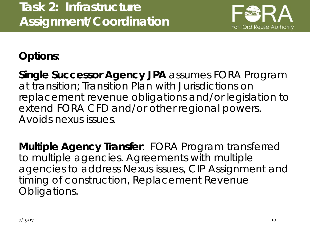

**Options**:

**Single Successor Agency JPA** assumes FORA Program at transition; Transition Plan with Jurisdictions on replacement revenue obligations and/*or legislation to extend FORA CFD and/or other regional powers.*  Avoids nexus issues.

**Multiple Agency Transfer**: FORA Program transferred to multiple agencies. Agreements with multiple agencies to address Nexus issues, CIP Assignment and timing of construction, Replacement Revenue Obligations.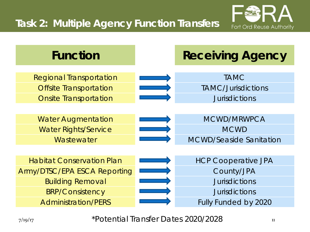



7/19/17 11 \*Potential Transfer Dates 2020/2028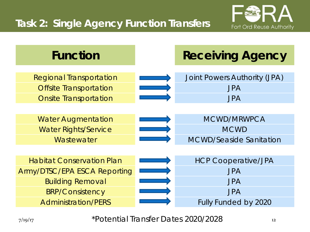## **Task 2: Single Agency Function Transfers**





7/19/17 12 \*Potential Transfer Dates 2020/2028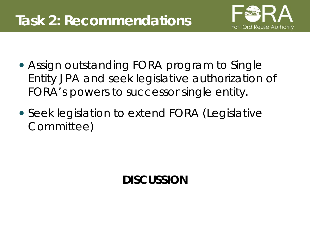

- Assign outstanding FORA program to Single Entity JPA and seek legislative authorization of FORA's powers to successor single entity.
- Seek legislation to extend FORA (Legislative Committee)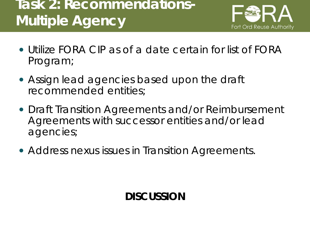## **Task 2: Recommendations-Multiple Agency**



- Utilize FORA CIP as of a date certain for list of FORA Program;
- Assign lead agencies based upon the draft recommended entities;
- Draft Transition Agreements and/or Reimbursement Agreements with successor entities and/or lead agencies;
- Address nexus issues in Transition Agreements.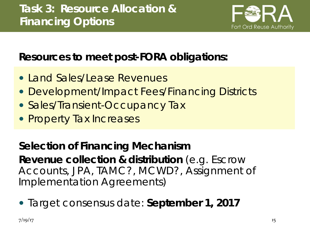

## **Resources to meet post-FORA obligations:**

- Land Sales/Lease Revenues
- Development/Impact Fees/Financing Districts
- Sales/Transient-Occupancy Tax
- Property Tax Increases

**Selection of Financing Mechanism Revenue collection & distribution** (e.g. Escrow Accounts, JPA, TAMC?, MCWD?, Assignment of Implementation Agreements)

*Target consensus date: September 1, 2017*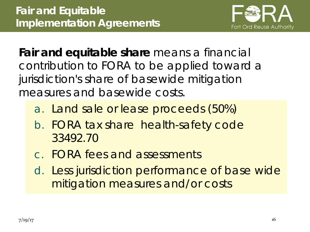

**Fair and equitable share** *means* a financial contribution to FORA to be applied toward a jurisdiction's share of basewide mitigation measures and basewide costs.

- a. Land sale or lease proceeds (50%)
- b. FORA tax share health-safety code 33492.70
- c. FORA fees and assessments
- d. Less jurisdiction performance of base wide mitigation measures and/or costs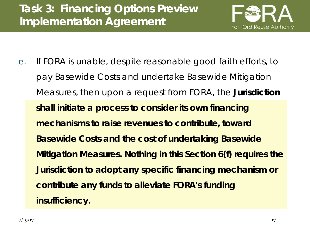

e. If FORA is unable, despite reasonable good faith efforts, to pay Basewide Costs and undertake Basewide Mitigation Measures, then upon a request from FORA, the **Jurisdiction shall initiate a process to consider its own financing mechanisms to raise revenues to contribute, toward Basewide Costs and the cost of undertaking Basewide Mitigation Measures. Nothing in this Section 6(f) requires the Jurisdiction to adopt any specific financing mechanism or contribute any funds to alleviate FORA's funding insufficiency.**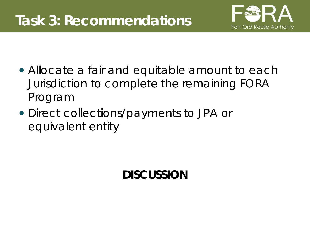

- Allocate a fair and equitable amount to each Jurisdiction to complete the remaining FORA Program
- Direct collections/payments to JPA or equivalent entity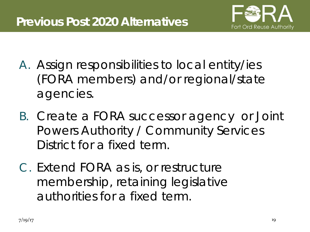

- A. Assign responsibilities to local entity/ies (FORA members) and/or regional/state agencies.
- B. Create a FORA successor agency or Joint Powers Authority / Community Services District for a fixed term.
- C. Extend FORA as is, or restructure membership, retaining legislative authorities for a fixed term.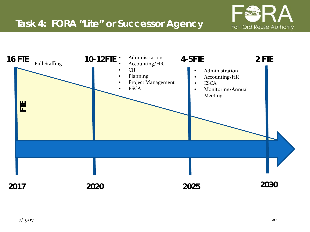

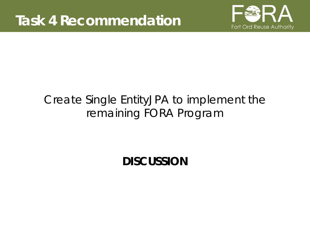

## Create Single EntityJPA to implement the remaining FORA Program